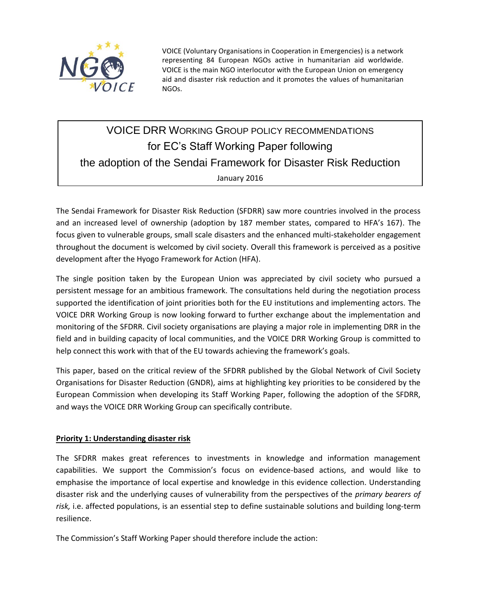

VOICE (Voluntary Organisations in Cooperation in Emergencies) is a network representing 84 European NGOs active in humanitarian aid worldwide. VOICE is the main NGO interlocutor with the European Union on emergency aid and disaster risk reduction and it promotes the values of humanitarian NGOs.

# VOICE DRR WORKING GROUP POLICY RECOMMENDATIONS for EC's Staff Working Paper following the adoption of the Sendai Framework for Disaster Risk Reduction January 2016

The Sendai Framework for Disaster Risk Reduction (SFDRR) saw more countries involved in the process and an increased level of ownership (adoption by 187 member states, compared to HFA's 167). The focus given to vulnerable groups, small scale disasters and the enhanced multi-stakeholder engagement throughout the document is welcomed by civil society. Overall this framework is perceived as a positive development after the Hyogo Framework for Action (HFA).

The single position taken by the European Union was appreciated by civil society who pursued a persistent message for an ambitious framework. The consultations held during the negotiation process supported the identification of joint priorities both for the EU institutions and implementing actors. The VOICE DRR Working Group is now looking forward to further exchange about the implementation and monitoring of the SFDRR. Civil society organisations are playing a major role in implementing DRR in the field and in building capacity of local communities, and the VOICE DRR Working Group is committed to help connect this work with that of the EU towards achieving the framework's goals.

This paper, based on the critical review of the SFDRR published by the Global Network of Civil Society Organisations for Disaster Reduction (GNDR), aims at highlighting key priorities to be considered by the European Commission when developing its Staff Working Paper, following the adoption of the SFDRR, and ways the VOICE DRR Working Group can specifically contribute.

## **Priority 1: Understanding disaster risk**

The SFDRR makes great references to investments in knowledge and information management capabilities. We support the Commission's focus on evidence-based actions, and would like to emphasise the importance of local expertise and knowledge in this evidence collection. Understanding disaster risk and the underlying causes of vulnerability from the perspectives of the *primary bearers of risk,* i.e. affected populations, is an essential step to define sustainable solutions and building long-term resilience.

The Commission's Staff Working Paper should therefore include the action: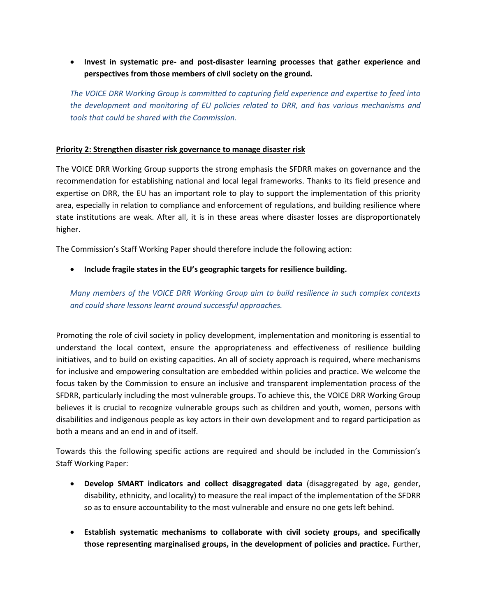**Invest in systematic pre- and post-disaster learning processes that gather experience and perspectives from those members of civil society on the ground.** 

*The VOICE DRR Working Group is committed to capturing field experience and expertise to feed into the development and monitoring of EU policies related to DRR, and has various mechanisms and tools that could be shared with the Commission.* 

### **Priority 2: Strengthen disaster risk governance to manage disaster risk**

The VOICE DRR Working Group supports the strong emphasis the SFDRR makes on governance and the recommendation for establishing national and local legal frameworks. Thanks to its field presence and expertise on DRR, the EU has an important role to play to support the implementation of this priority area, especially in relation to compliance and enforcement of regulations, and building resilience where state institutions are weak. After all, it is in these areas where disaster losses are disproportionately higher.

The Commission's Staff Working Paper should therefore include the following action:

**Include fragile states in the EU's geographic targets for resilience building.** 

*Many members of the VOICE DRR Working Group aim to build resilience in such complex contexts and could share lessons learnt around successful approaches.* 

Promoting the role of civil society in policy development, implementation and monitoring is essential to understand the local context, ensure the appropriateness and effectiveness of resilience building initiatives, and to build on existing capacities. An all of society approach is required, where mechanisms for inclusive and empowering consultation are embedded within policies and practice. We welcome the focus taken by the Commission to ensure an inclusive and transparent implementation process of the SFDRR, particularly including the most vulnerable groups. To achieve this, the VOICE DRR Working Group believes it is crucial to recognize vulnerable groups such as children and youth, women, persons with disabilities and indigenous people as key actors in their own development and to regard participation as both a means and an end in and of itself.

Towards this the following specific actions are required and should be included in the Commission's Staff Working Paper:

- **Develop SMART indicators and collect disaggregated data** (disaggregated by age, gender, disability, ethnicity, and locality) to measure the real impact of the implementation of the SFDRR so as to ensure accountability to the most vulnerable and ensure no one gets left behind.
- **Establish systematic mechanisms to collaborate with civil society groups, and specifically those representing marginalised groups, in the development of policies and practice.** Further,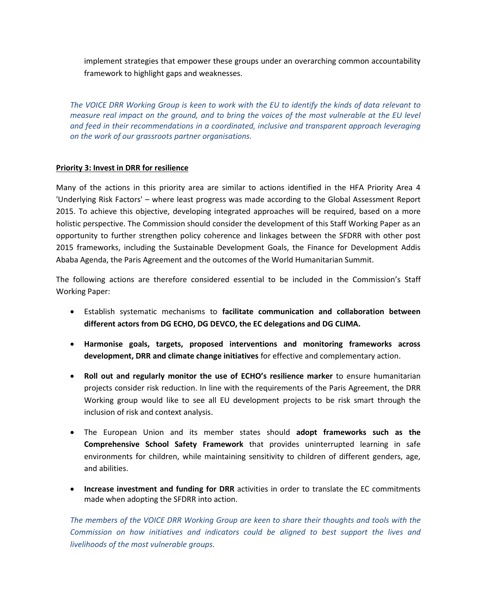implement strategies that empower these groups under an overarching common accountability framework to highlight gaps and weaknesses.

*The VOICE DRR Working Group is keen to work with the EU to identify the kinds of data relevant to measure real impact on the ground, and to bring the voices of the most vulnerable at the EU level and feed in their recommendations in a coordinated, inclusive and transparent approach leveraging on the work of our grassroots partner organisations.*

#### **Priority 3: Invest in DRR for resilience**

Many of the actions in this priority area are similar to actions identified in the HFA Priority Area 4 'Underlying Risk Factors' – where least progress was made according to the Global Assessment Report 2015. To achieve this objective, developing integrated approaches will be required, based on a more holistic perspective. The Commission should consider the development of this Staff Working Paper as an opportunity to further strengthen policy coherence and linkages between the SFDRR with other post 2015 frameworks, including the Sustainable Development Goals, the Finance for Development Addis Ababa Agenda, the Paris Agreement and the outcomes of the World Humanitarian Summit.

The following actions are therefore considered essential to be included in the Commission's Staff Working Paper:

- Establish systematic mechanisms to **facilitate communication and collaboration between different actors from DG ECHO, DG DEVCO, the EC delegations and DG CLIMA.**
- **Harmonise goals, targets, proposed interventions and monitoring frameworks across development, DRR and climate change initiatives** for effective and complementary action.
- **Roll out and regularly monitor the use of ECHO's resilience marker** to ensure humanitarian projects consider risk reduction. In line with the requirements of the Paris Agreement, the DRR Working group would like to see all EU development projects to be risk smart through the inclusion of risk and context analysis.
- The European Union and its member states should **adopt frameworks such as the Comprehensive School Safety Framework** that provides uninterrupted learning in safe environments for children, while maintaining sensitivity to children of different genders, age, and abilities.
- **Increase investment and funding for DRR** activities in order to translate the EC commitments made when adopting the SFDRR into action.

*The members of the VOICE DRR Working Group are keen to share their thoughts and tools with the Commission on how initiatives and indicators could be aligned to best support the lives and livelihoods of the most vulnerable groups.*